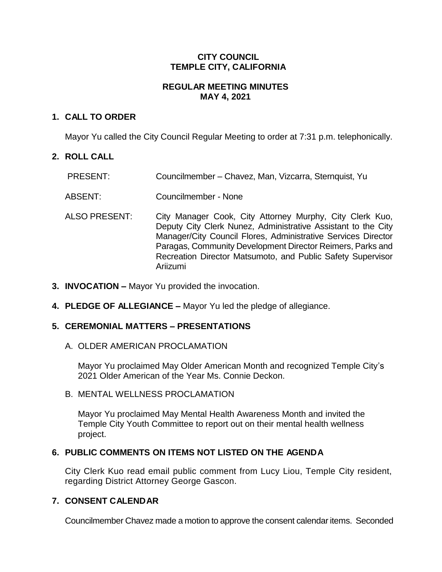## **CITY COUNCIL TEMPLE CITY, CALIFORNIA**

## **REGULAR MEETING MINUTES MAY 4, 2021**

# **1. CALL TO ORDER**

Mayor Yu called the City Council Regular Meeting to order at 7:31 p.m. telephonically.

## **2. ROLL CALL**

- PRESENT: Councilmember Chavez, Man, Vizcarra, Sternquist, Yu
- ABSENT: Councilmember None
- ALSO PRESENT: City Manager Cook, City Attorney Murphy, City Clerk Kuo, Deputy City Clerk Nunez, Administrative Assistant to the City Manager/City Council Flores, Administrative Services Director Paragas, Community Development Director Reimers, Parks and Recreation Director Matsumoto, and Public Safety Supervisor Ariizumi
- **3. INVOCATION –** Mayor Yu provided the invocation.
- **4. PLEDGE OF ALLEGIANCE –** Mayor Yu led the pledge of allegiance.

### **5. CEREMONIAL MATTERS – PRESENTATIONS**

A. OLDER AMERICAN PROCLAMATION

Mayor Yu proclaimed May Older American Month and recognized Temple City's 2021 Older American of the Year Ms. Connie Deckon.

B. MENTAL WELLNESS PROCLAMATION

Mayor Yu proclaimed May Mental Health Awareness Month and invited the Temple City Youth Committee to report out on their mental health wellness project.

### **6. PUBLIC COMMENTS ON ITEMS NOT LISTED ON THE AGENDA**

City Clerk Kuo read email public comment from Lucy Liou, Temple City resident, regarding District Attorney George Gascon.

# **7. CONSENT CALENDAR**

Councilmember Chavez made a motion to approve the consent calendar items. Seconded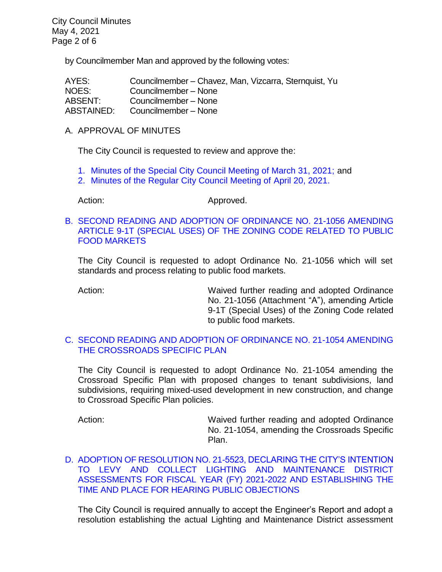by Councilmember Man and approved by the following votes:

| AYES:      | Councilmember – Chavez, Man, Vizcarra, Sternquist, Yu |
|------------|-------------------------------------------------------|
| NOES:      | Councilmember - None                                  |
| ABSENT:    | Councilmember - None                                  |
| ABSTAINED: | Councilmember - None                                  |

A. APPROVAL OF MINUTES

The City Council is requested to review and approve the:

- 1. [Minutes of the Special City Council Meeting of March 31, 2021;](https://ca-templecity.civicplus.com/DocumentCenter/View/16204/CCM---2021-03-31-Sheriffs-Monthly) and
- 2. [Minutes of the Regular City Council Meeting of April 20, 2021.](https://ca-templecity.civicplus.com/DocumentCenter/View/16203/CCM---2021-04-20)

Action: Approved.

B. [SECOND READING AND ADOPTION OF ORDINANCE NO. 21-1056 AMENDING](https://ca-templecity.civicplus.com/DocumentCenter/View/16200/7B_Public-Food-Market_Staff-Report-for-Ordinance-21-1056-true_final-w-attachments)  [ARTICLE 9-1T \(SPECIAL USES\) OF THE ZONING CODE RELATED TO PUBLIC](https://ca-templecity.civicplus.com/DocumentCenter/View/16200/7B_Public-Food-Market_Staff-Report-for-Ordinance-21-1056-true_final-w-attachments)  [FOOD MARKETS](https://ca-templecity.civicplus.com/DocumentCenter/View/16200/7B_Public-Food-Market_Staff-Report-for-Ordinance-21-1056-true_final-w-attachments)

The City Council is requested to adopt Ordinance No. 21-1056 which will set standards and process relating to public food markets.

Action: **Maived further reading and adopted Ordinance** No. 21-1056 (Attachment "A"), amending Article 9-1T (Special Uses) of the Zoning Code related to public food markets.

#### C. [SECOND READING AND ADOPTION OF ORDINANCE NO. 21-1054 AMENDING](https://ca-templecity.civicplus.com/DocumentCenter/View/16201/7C_CSP_Staff-Report-for-Ordinance-1054-CSP-v1-w-attachments)  [THE CROSSROADS SPECIFIC PLAN](https://ca-templecity.civicplus.com/DocumentCenter/View/16201/7C_CSP_Staff-Report-for-Ordinance-1054-CSP-v1-w-attachments)

The City Council is requested to adopt Ordinance No. 21-1054 amending the Crossroad Specific Plan with proposed changes to tenant subdivisions, land subdivisions, requiring mixed-used development in new construction, and change to Crossroad Specific Plan policies.

Action: Waived further reading and adopted Ordinance No. 21-1054, amending the Crossroads Specific Plan.

D. [ADOPTION OF RESOLUTION NO. 21-5523, DECLARING THE CITY'S INTENTION](https://ca-templecity.civicplus.com/DocumentCenter/View/16202/7D_Engineers-Report_Staff-Report-LLD-Intention-to-Levy-Assessments_v3_final-w-attachments)  [TO LEVY AND COLLECT LIGHTING AND MAINTENANCE DISTRICT](https://ca-templecity.civicplus.com/DocumentCenter/View/16202/7D_Engineers-Report_Staff-Report-LLD-Intention-to-Levy-Assessments_v3_final-w-attachments)  [ASSESSMENTS FOR FISCAL YEAR \(FY\) 2021-2022 AND ESTABLISHING THE](https://ca-templecity.civicplus.com/DocumentCenter/View/16202/7D_Engineers-Report_Staff-Report-LLD-Intention-to-Levy-Assessments_v3_final-w-attachments)  [TIME AND PLACE FOR HEARING PUBLIC OBJECTIONS](https://ca-templecity.civicplus.com/DocumentCenter/View/16202/7D_Engineers-Report_Staff-Report-LLD-Intention-to-Levy-Assessments_v3_final-w-attachments)

The City Council is required annually to accept the Engineer's Report and adopt a resolution establishing the actual Lighting and Maintenance District assessment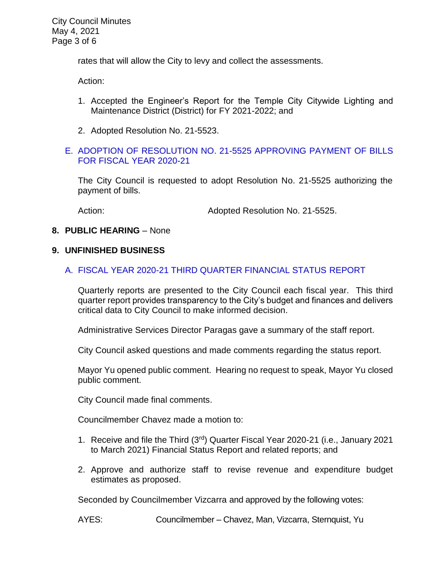City Council Minutes May 4, 2021 Page 3 of 6

rates that will allow the City to levy and collect the assessments.

Action:

- 1. Accepted the Engineer's Report for the Temple City Citywide Lighting and Maintenance District (District) for FY 2021-2022; and
- 2. Adopted Resolution No. 21-5523.

#### E. [ADOPTION OF RESOLUTION NO. 21-5525](https://ca-templecity.civicplus.com/DocumentCenter/View/16207/7e_Reso-No-21-5525-050421---Warrants--Demands-FY-2020-2021---Copy) APPROVING PAYMENT OF BILLS [FOR FISCAL YEAR 2020-21](https://ca-templecity.civicplus.com/DocumentCenter/View/16207/7e_Reso-No-21-5525-050421---Warrants--Demands-FY-2020-2021---Copy)

The City Council is requested to adopt Resolution No. 21-5525 authorizing the payment of bills.

Action: Mathematic Monet Adopted Resolution No. 21-5525.

#### **8. PUBLIC HEARING** – None

#### **9. UNFINISHED BUSINESS**

#### A. FISCAL YEAR 2020-21 [THIRD QUARTER FINANCIAL STATUS](https://ca-templecity.civicplus.com/DocumentCenter/View/16208/9A_3rd-Quarter-Financial-Report_Staff-Report-FY2021_v4-final-with-attachments) REPORT

Quarterly reports are presented to the City Council each fiscal year. This third quarter report provides transparency to the City's budget and finances and delivers critical data to City Council to make informed decision.

Administrative Services Director Paragas gave a summary of the staff report.

City Council asked questions and made comments regarding the status report.

Mayor Yu opened public comment. Hearing no request to speak, Mayor Yu closed public comment.

City Council made final comments.

Councilmember Chavez made a motion to:

- 1. Receive and file the Third (3rd) Quarter Fiscal Year 2020-21 (i.e., January 2021 to March 2021) Financial Status Report and related reports; and
- 2. Approve and authorize staff to revise revenue and expenditure budget estimates as proposed.

Seconded by Councilmember Vizcarra and approved by the following votes:

AYES: Councilmember – Chavez, Man, Vizcarra, Sternquist, Yu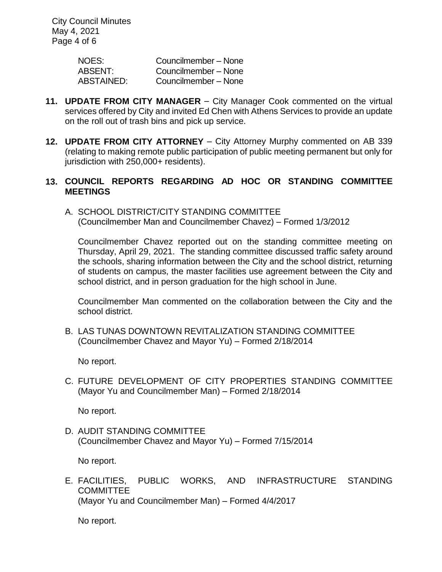City Council Minutes May 4, 2021 Page 4 of 6

| NOES:      | Councilmember - None |
|------------|----------------------|
| ABSENT:    | Councilmember - None |
| ABSTAINED: | Councilmember - None |

- **11. UPDATE FROM CITY MANAGER** City Manager Cook commented on the virtual services offered by City and invited Ed Chen with Athens Services to provide an update on the roll out of trash bins and pick up service.
- **12. UPDATE FROM CITY ATTORNEY** City Attorney Murphy commented on AB 339 (relating to making remote public participation of public meeting permanent but only for jurisdiction with 250,000+ residents).

### **13. COUNCIL REPORTS REGARDING AD HOC OR STANDING COMMITTEE MEETINGS**

A. SCHOOL DISTRICT/CITY STANDING COMMITTEE (Councilmember Man and Councilmember Chavez) – Formed 1/3/2012

Councilmember Chavez reported out on the standing committee meeting on Thursday, April 29, 2021. The standing committee discussed traffic safety around the schools, sharing information between the City and the school district, returning of students on campus, the master facilities use agreement between the City and school district, and in person graduation for the high school in June.

Councilmember Man commented on the collaboration between the City and the school district.

B. LAS TUNAS DOWNTOWN REVITALIZATION STANDING COMMITTEE (Councilmember Chavez and Mayor Yu) – Formed 2/18/2014

No report.

C. FUTURE DEVELOPMENT OF CITY PROPERTIES STANDING COMMITTEE (Mayor Yu and Councilmember Man) – Formed 2/18/2014

No report.

D. AUDIT STANDING COMMITTEE (Councilmember Chavez and Mayor Yu) – Formed 7/15/2014

No report.

E. FACILITIES, PUBLIC WORKS, AND INFRASTRUCTURE STANDING **COMMITTEE** (Mayor Yu and Councilmember Man) – Formed 4/4/2017

No report.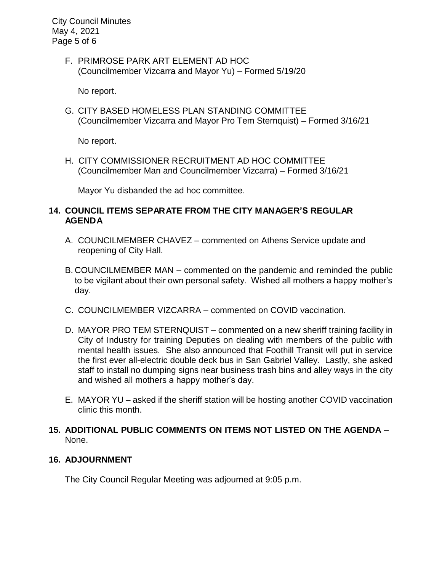City Council Minutes May 4, 2021 Page 5 of 6

> F. PRIMROSE PARK ART ELEMENT AD HOC (Councilmember Vizcarra and Mayor Yu) – Formed 5/19/20

No report.

G. CITY BASED HOMELESS PLAN STANDING COMMITTEE (Councilmember Vizcarra and Mayor Pro Tem Sternquist) – Formed 3/16/21

No report.

H. CITY COMMISSIONER RECRUITMENT AD HOC COMMITTEE (Councilmember Man and Councilmember Vizcarra) – Formed 3/16/21

Mayor Yu disbanded the ad hoc committee.

# **14. COUNCIL ITEMS SEPARATE FROM THE CITY MANAGER'S REGULAR AGENDA**

- A. COUNCILMEMBER CHAVEZ commented on Athens Service update and reopening of City Hall.
- B. COUNCILMEMBER MAN commented on the pandemic and reminded the public to be vigilant about their own personal safety. Wished all mothers a happy mother's day.
- C. COUNCILMEMBER VIZCARRA commented on COVID vaccination.
- D. MAYOR PRO TEM STERNQUIST commented on a new sheriff training facility in City of Industry for training Deputies on dealing with members of the public with mental health issues. She also announced that Foothill Transit will put in service the first ever all-electric double deck bus in San Gabriel Valley. Lastly, she asked staff to install no dumping signs near business trash bins and alley ways in the city and wished all mothers a happy mother's day.
- E. MAYOR YU asked if the sheriff station will be hosting another COVID vaccination clinic this month.
- **15. ADDITIONAL PUBLIC COMMENTS ON ITEMS NOT LISTED ON THE AGENDA** None.

# **16. ADJOURNMENT**

The City Council Regular Meeting was adjourned at 9:05 p.m.